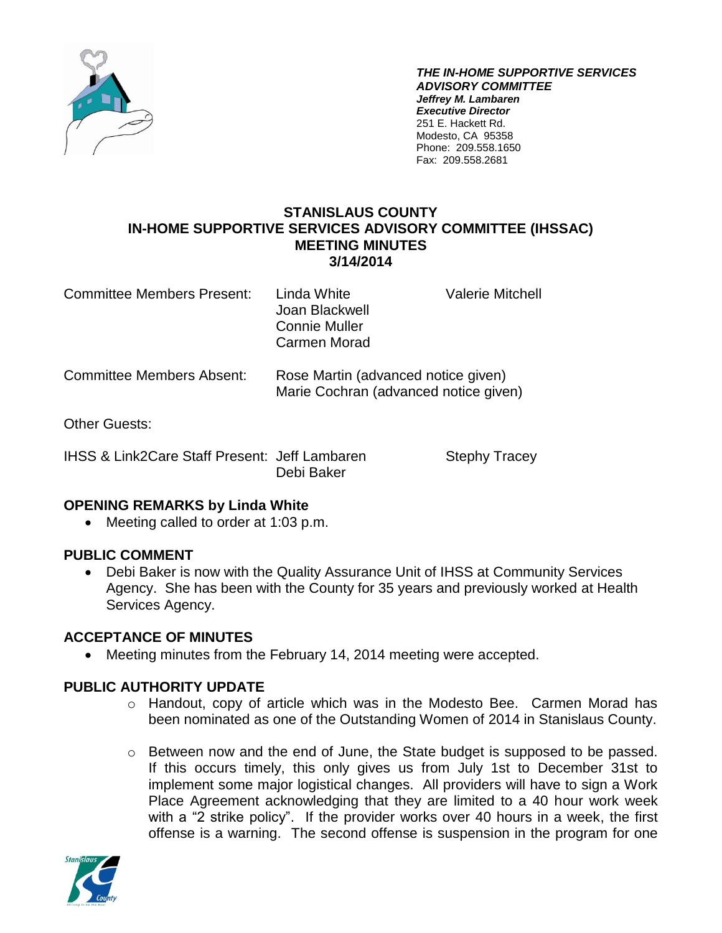

*THE IN-HOME SUPPORTIVE SERVICES ADVISORY COMMITTEE Jeffrey M. Lambaren Executive Director* 251 E. Hackett Rd. Modesto, CA 95358 Phone: 209.558.1650 Fax: 209.558.2681

### **STANISLAUS COUNTY IN-HOME SUPPORTIVE SERVICES ADVISORY COMMITTEE (IHSSAC) MEETING MINUTES 3/14/2014**

| <b>Committee Members Present:</b> | Linda White<br>Joan Blackwell<br><b>Connie Muller</b><br>Carmen Morad | <b>Valerie Mitchell</b>             |  |
|-----------------------------------|-----------------------------------------------------------------------|-------------------------------------|--|
| Committee Members Absent: .       |                                                                       | Rose Martin (advanced notice given) |  |

ommittee Members Absent: Rose Martin (advanced notice given) Marie Cochran (advanced notice given)

Other Guests:

IHSS & Link2Care Staff Present: Jeff Lambaren Stephy Tracey Debi Baker

# **OPENING REMARKS by Linda White**

• Meeting called to order at 1:03 p.m.

# **PUBLIC COMMENT**

 Debi Baker is now with the Quality Assurance Unit of IHSS at Community Services Agency. She has been with the County for 35 years and previously worked at Health Services Agency.

# **ACCEPTANCE OF MINUTES**

Meeting minutes from the February 14, 2014 meeting were accepted.

# **PUBLIC AUTHORITY UPDATE**

- o Handout, copy of article which was in the Modesto Bee. Carmen Morad has been nominated as one of the Outstanding Women of 2014 in Stanislaus County.
- o Between now and the end of June, the State budget is supposed to be passed. If this occurs timely, this only gives us from July 1st to December 31st to implement some major logistical changes. All providers will have to sign a Work Place Agreement acknowledging that they are limited to a 40 hour work week with a "2 strike policy". If the provider works over 40 hours in a week, the first offense is a warning. The second offense is suspension in the program for one

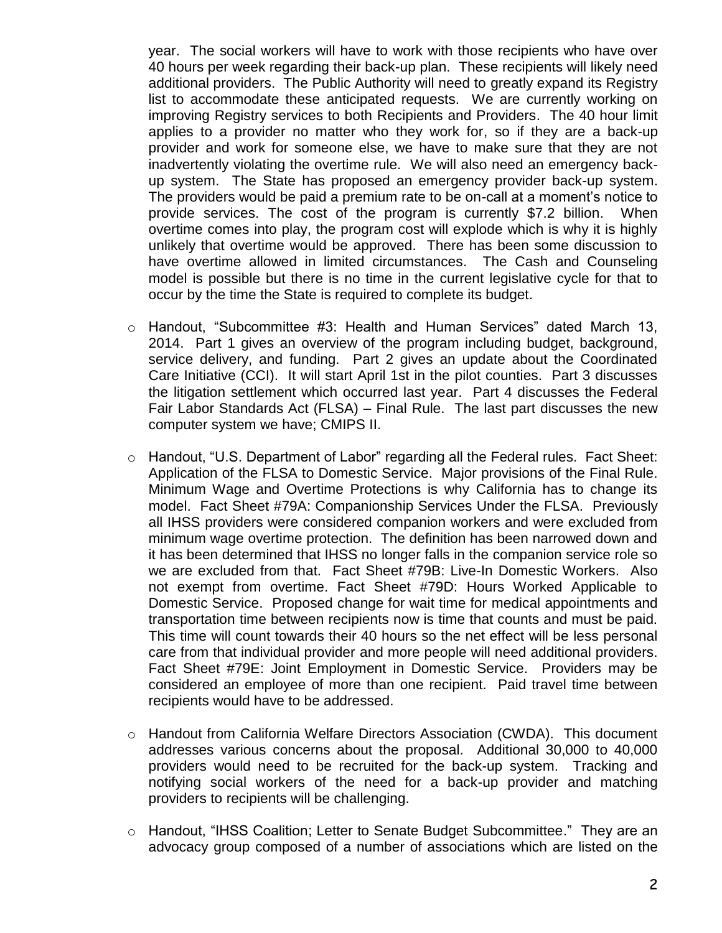year. The social workers will have to work with those recipients who have over 40 hours per week regarding their back-up plan. These recipients will likely need additional providers. The Public Authority will need to greatly expand its Registry list to accommodate these anticipated requests. We are currently working on improving Registry services to both Recipients and Providers. The 40 hour limit applies to a provider no matter who they work for, so if they are a back-up provider and work for someone else, we have to make sure that they are not inadvertently violating the overtime rule. We will also need an emergency backup system. The State has proposed an emergency provider back-up system. The providers would be paid a premium rate to be on-call at a moment's notice to provide services. The cost of the program is currently \$7.2 billion. When overtime comes into play, the program cost will explode which is why it is highly unlikely that overtime would be approved. There has been some discussion to have overtime allowed in limited circumstances. The Cash and Counseling model is possible but there is no time in the current legislative cycle for that to occur by the time the State is required to complete its budget.

- $\circ$  Handout, "Subcommittee #3: Health and Human Services" dated March 13, 2014. Part 1 gives an overview of the program including budget, background, service delivery, and funding. Part 2 gives an update about the Coordinated Care Initiative (CCI). It will start April 1st in the pilot counties. Part 3 discusses the litigation settlement which occurred last year. Part 4 discusses the Federal Fair Labor Standards Act (FLSA) – Final Rule. The last part discusses the new computer system we have; CMIPS II.
- $\circ$  Handout, "U.S. Department of Labor" regarding all the Federal rules. Fact Sheet: Application of the FLSA to Domestic Service. Major provisions of the Final Rule. Minimum Wage and Overtime Protections is why California has to change its model. Fact Sheet #79A: Companionship Services Under the FLSA. Previously all IHSS providers were considered companion workers and were excluded from minimum wage overtime protection. The definition has been narrowed down and it has been determined that IHSS no longer falls in the companion service role so we are excluded from that. Fact Sheet #79B: Live-In Domestic Workers. Also not exempt from overtime. Fact Sheet #79D: Hours Worked Applicable to Domestic Service. Proposed change for wait time for medical appointments and transportation time between recipients now is time that counts and must be paid. This time will count towards their 40 hours so the net effect will be less personal care from that individual provider and more people will need additional providers. Fact Sheet #79E: Joint Employment in Domestic Service. Providers may be considered an employee of more than one recipient. Paid travel time between recipients would have to be addressed.
- o Handout from California Welfare Directors Association (CWDA). This document addresses various concerns about the proposal. Additional 30,000 to 40,000 providers would need to be recruited for the back-up system. Tracking and notifying social workers of the need for a back-up provider and matching providers to recipients will be challenging.
- o Handout, "IHSS Coalition; Letter to Senate Budget Subcommittee." They are an advocacy group composed of a number of associations which are listed on the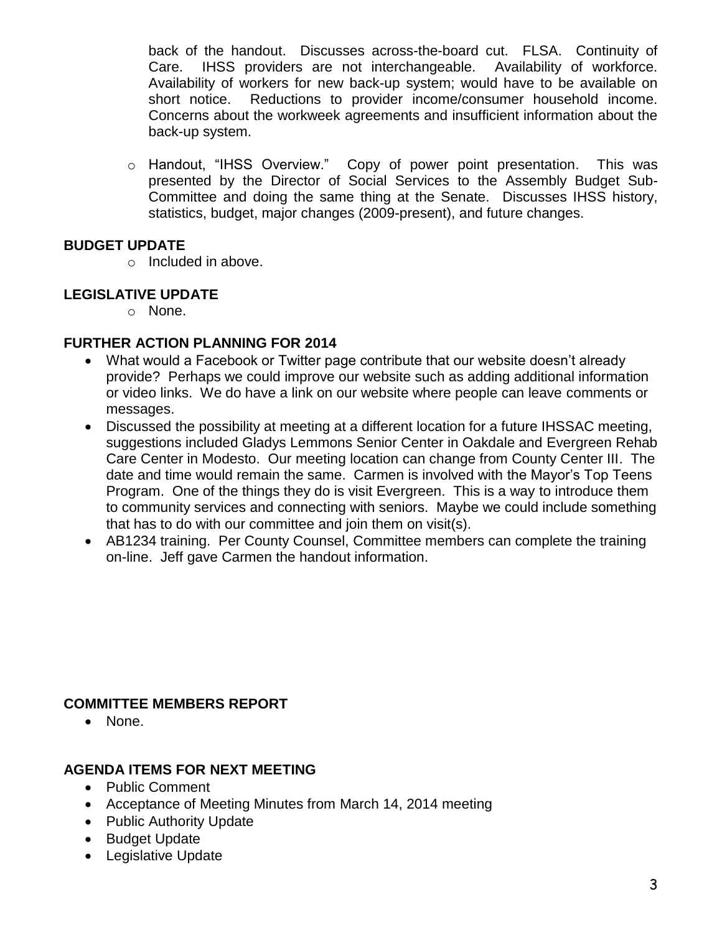back of the handout. Discusses across-the-board cut. FLSA. Continuity of Care. IHSS providers are not interchangeable. Availability of workforce. Availability of workers for new back-up system; would have to be available on short notice. Reductions to provider income/consumer household income. Concerns about the workweek agreements and insufficient information about the back-up system.

 $\circ$  Handout, "IHSS Overview." Copy of power point presentation. This was presented by the Director of Social Services to the Assembly Budget Sub-Committee and doing the same thing at the Senate. Discusses IHSS history, statistics, budget, major changes (2009-present), and future changes.

# **BUDGET UPDATE**

o Included in above.

### **LEGISLATIVE UPDATE**

o None.

### **FURTHER ACTION PLANNING FOR 2014**

- What would a Facebook or Twitter page contribute that our website doesn't already provide? Perhaps we could improve our website such as adding additional information or video links. We do have a link on our website where people can leave comments or messages.
- Discussed the possibility at meeting at a different location for a future IHSSAC meeting, suggestions included Gladys Lemmons Senior Center in Oakdale and Evergreen Rehab Care Center in Modesto. Our meeting location can change from County Center III. The date and time would remain the same. Carmen is involved with the Mayor's Top Teens Program. One of the things they do is visit Evergreen. This is a way to introduce them to community services and connecting with seniors. Maybe we could include something that has to do with our committee and join them on visit(s).
- AB1234 training. Per County Counsel, Committee members can complete the training on-line. Jeff gave Carmen the handout information.

### **COMMITTEE MEMBERS REPORT**

• None.

# **AGENDA ITEMS FOR NEXT MEETING**

- Public Comment
- Acceptance of Meeting Minutes from March 14, 2014 meeting
- Public Authority Update
- Budget Update
- Legislative Update